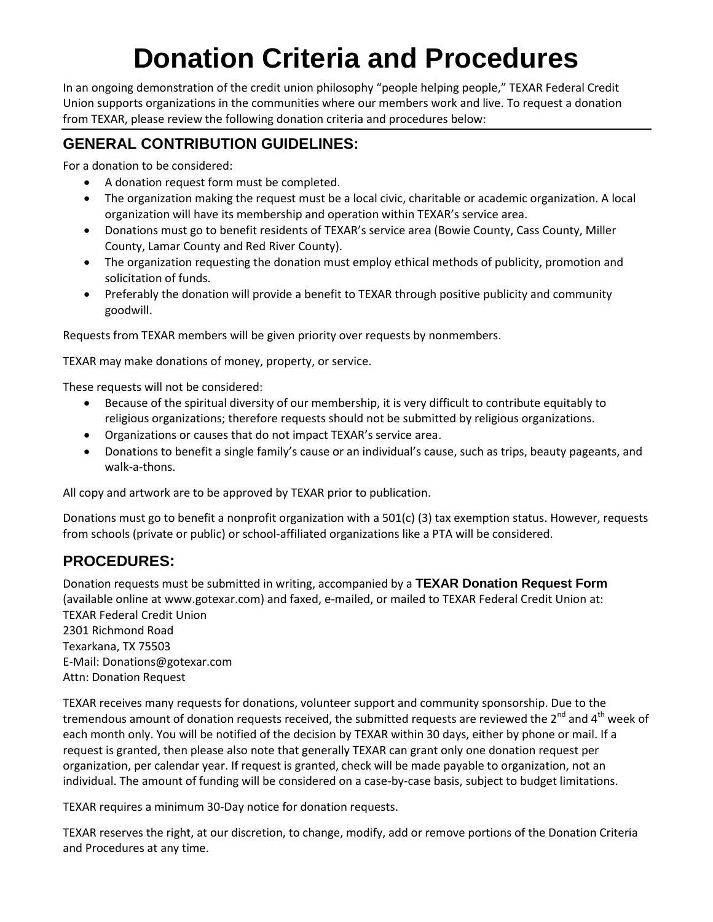# **Donation Criteria and Procedures**

In an ongoing demonstration of the credit union philosophy "people helping people," TEXAR Federal Credit Union supports organizations in the communities where our members work and live. To request a donation from TEXAR, please review the following donation criteria and procedures below:

### **GENERAL CONTRIBUTION GUIDELINES:**

For a donation to be considered:

- A donation request form must be completed.
- The organization making the request must be a local civic, charitable or academic organization. A local organization will have its membership and operation within TEXAR's service area.
- Donations must go to benefit residents of TEXAR's service area (Bowie County, Cass County, Miller County, Lamar County and Red River County).
- The organization requesting the donation must employ ethical methods of publicity, promotion and solicitation of funds.
- Preferably the donation will provide a benefit to TEXAR through positive publicity and community goodwill.

Requests from TEXAR members will be given priority over requests by nonmembers.

TEXAR may make donations of money, property, or service.

These requests will not be considered:

- Because of the spiritual diversity of our membership, it is very difficult to contribute equitably to religious organizations; therefore requests should not be submitted by religious organizations.
- Organizations or causes that do not impact TEXAR's service area.
- Donations to benefit a single family's cause or an individual's cause, such as trips, beauty pageants, and walk-a-thons.

All copy and artwork are to be approved by TEXAR prior to publication.

Donations must go to benefit a nonprofit organization with a 501(c) (3) tax exemption status. However, requests from schools (private or public) or school-affiliated organizations like a PTA will be considered.

#### **PROCEDURES:**

Donation requests must be submitted in writing, accompanied by a **TEXAR Donation Request Form**  (available online at www.gotexar.com) and faxed, e-mailed, or mailed to TEXAR Federal Credit Union at: TEXAR Federal Credit Union 2301 Richmond Road Texarkana, TX 75503 E-Mail: Donations@gotexar.com

Attn: Donation Request

TEXAR receives many requests for donations, volunteer support and community sponsorship. Due to the tremendous amount of donation requests received, the submitted requests are reviewed the 2<sup>nd</sup> and 4<sup>th</sup> week of each month only. You will be notified of the decision by TEXAR within 30 days, either by phone or mail. If a request is granted, then please also note that generally TEXAR can grant only one donation request per organization, per calendar year. If request is granted, check will be made payable to organization, not an individual. The amount of funding will be considered on a case-by-case basis, subject to budget limitations.

TEXAR requires a minimum 30-Day notice for donation requests.

TEXAR reserves the right, at our discretion, to change, modify, add or remove portions of the Donation Criteria and Procedures at any time.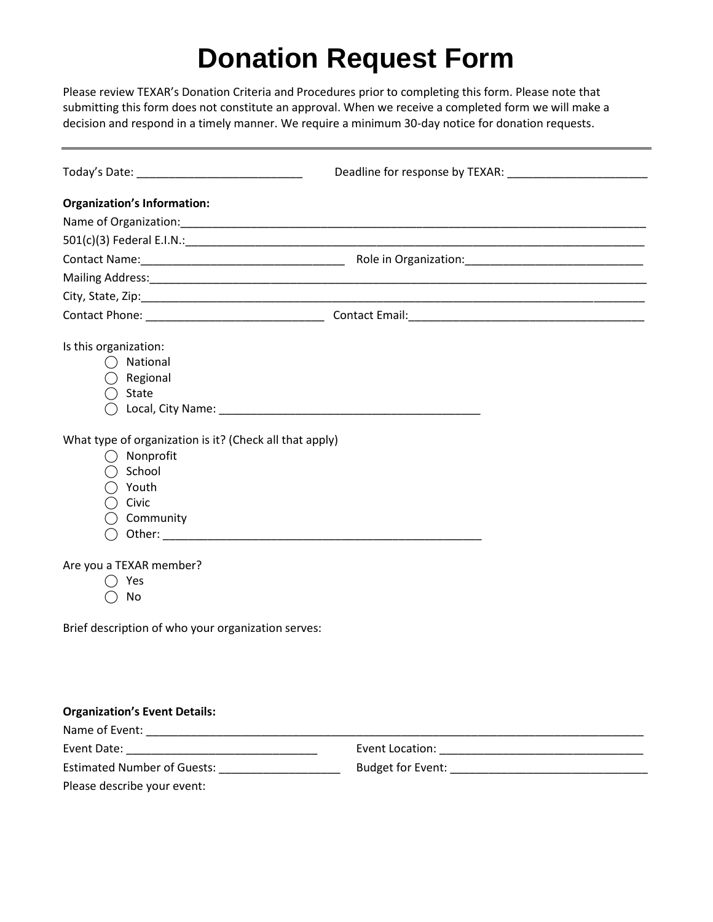## **Donation Request Form**

Please review TEXAR's Donation Criteria and Procedures prior to completing this form. Please note that submitting this form does not constitute an approval. When we receive a completed form we will make a decision and respond in a timely manner. We require a minimum 30-day notice for donation requests.

| <b>Organization's Information:</b>                                                                                                                                                                                                |  |
|-----------------------------------------------------------------------------------------------------------------------------------------------------------------------------------------------------------------------------------|--|
|                                                                                                                                                                                                                                   |  |
|                                                                                                                                                                                                                                   |  |
|                                                                                                                                                                                                                                   |  |
|                                                                                                                                                                                                                                   |  |
|                                                                                                                                                                                                                                   |  |
|                                                                                                                                                                                                                                   |  |
| Is this organization:                                                                                                                                                                                                             |  |
| $\bigcap$ National                                                                                                                                                                                                                |  |
| Regional                                                                                                                                                                                                                          |  |
| $\bigcirc$ State                                                                                                                                                                                                                  |  |
|                                                                                                                                                                                                                                   |  |
| What type of organization is it? (Check all that apply)<br>Nonprofit<br>$\bigcirc$ School<br>$\bigcirc$ Youth<br>Civic<br>Community<br>Are you a TEXAR member?<br>Yes<br>No<br>Brief description of who your organization serves: |  |
|                                                                                                                                                                                                                                   |  |
|                                                                                                                                                                                                                                   |  |
| <b>Organization's Event Details:</b>                                                                                                                                                                                              |  |
|                                                                                                                                                                                                                                   |  |
|                                                                                                                                                                                                                                   |  |
| Estimated Number of Guests: _____________________                                                                                                                                                                                 |  |
| Please describe your event:                                                                                                                                                                                                       |  |